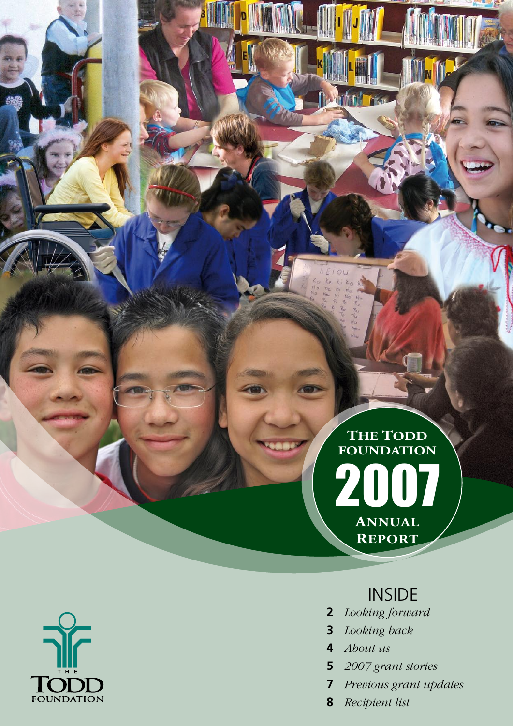## 2007 **Annual Report The Todd Foundation**

 $\|\|_{\mathsf{N}}\|_F$ 

**Portion of the** 

## INSIDE

- **2** *Looking forward*
- **3** *Looking back*
- **4** *About us*
- **5** *2007 grant stories*
- **7** *Previous grant updates*
- **8** *Recipient list*

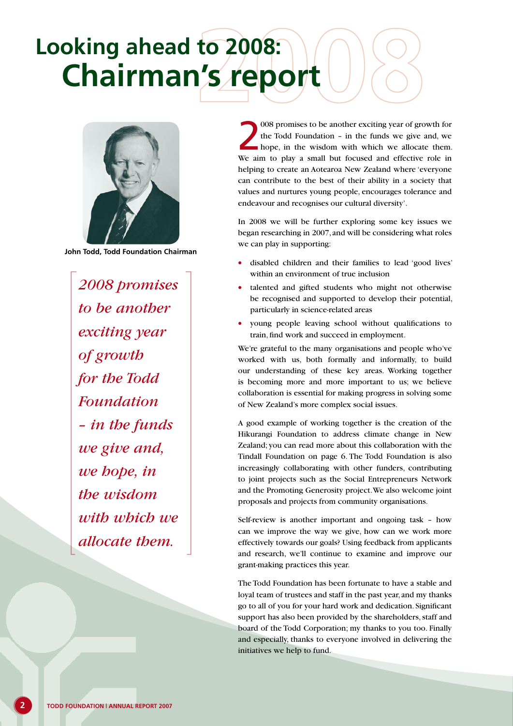# **Chairman's report Looking ahead to 2008:**



**John Todd, Todd Foundation Chairman**

*2008 promises to be another exciting year of growth for the Todd Foundation – in the funds we give and, we hope, in the wisdom with which we allocate them.* 

008 promises to be another exciting year of growth for<br>the Todd Foundation - in the funds we give and, we<br>hope, in the wisdom with which we allocate them.<br>We aim to play a small but focused and effective role in 008 promises to be another exciting year of growth for the Todd Foundation – in the funds we give and, we hope, in the wisdom with which we allocate them. helping to create an Aotearoa New Zealand where 'everyone can contribute to the best of their ability in a society that values and nurtures young people, encourages tolerance and endeavour and recognises our cultural diversity'.

In 2008 we will be further exploring some key issues we began researching in 2007, and will be considering what roles we can play in supporting:

- disabled children and their families to lead 'good lives' within an environment of true inclusion
- talented and gifted students who might not otherwise be recognised and supported to develop their potential, particularly in science-related areas
- young people leaving school without qualifications to train, find work and succeed in employment.

We're grateful to the many organisations and people who've worked with us, both formally and informally, to build our understanding of these key areas. Working together is becoming more and more important to us; we believe collaboration is essential for making progress in solving some of New Zealand's more complex social issues.

A good example of working together is the creation of the Hikurangi Foundation to address climate change in New Zealand; you can read more about this collaboration with the Tindall Foundation on page 6. The Todd Foundation is also increasingly collaborating with other funders, contributing to joint projects such as the Social Entrepreneurs Network and the Promoting Generosity project. We also welcome joint proposals and projects from community organisations.

Self-review is another important and ongoing task – how can we improve the way we give, how can we work more effectively towards our goals? Using feedback from applicants and research, we'll continue to examine and improve our grant-making practices this year.

The Todd Foundation has been fortunate to have a stable and loyal team of trustees and staff in the past year, and my thanks go to all of you for your hard work and dedication. Significant support has also been provided by the shareholders, staff and board of the Todd Corporation; my thanks to you too. Finally and especially, thanks to everyone involved in delivering the initiatives we help to fund.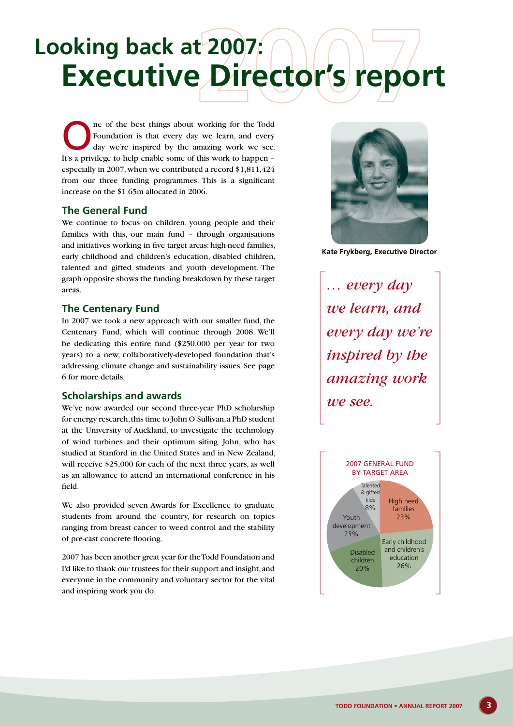# **Executive Director's report Looking back at 2007:**

The of the best things about working for the Todd Foundation is that every day we learn, and every day we're inspired by the amazing work we see. Foundation is that every day we learn, and every It's a privilege to help enable some of this work to happen – especially in 2007, when we contributed a record \$1,811,424 from our three funding programmes. This is a significant increase on the \$1.65m allocated in 2006.

### **The General Fund**

We continue to focus on children, young people and their families with this, our main fund – through organisations and initiatives working in five target areas: high-need families, early childhood and children's education, disabled children, talented and gifted students and youth development. The graph opposite shows the funding breakdown by these target areas.

### **The Centenary Fund**

In 2007 we took a new approach with our smaller fund, the Centenary Fund, which will continue through 2008. We'll be dedicating this entire fund (\$250,000 per year for two years) to a new, collaboratively-developed foundation that's addressing climate change and sustainability issues. See page 6 for more details.

### **Scholarships and awards**

We've now awarded our second three-year PhD scholarship for energy research, this time to John O'Sullivan, a PhD student at the University of Auckland, to investigate the technology of wind turbines and their optimum siting. John, who has studied at Stanford in the United States and in New Zealand, will receive \$25,000 for each of the next three years, as well as an allowance to attend an international conference in his field.

We also provided seven Awards for Excellence to graduate students from around the country, for research on topics ranging from breast cancer to weed control and the stability of pre-cast concrete flooring.

2007 has been another great year for the Todd Foundation and I'd like to thank our trustees for their support and insight, and everyone in the community and voluntary sector for the vital and inspiring work you do.



**Kate Frykberg, Executive Director**

*… every day we learn, and every day we're inspired by the amazing work we see.*



 $\mathbf{R}$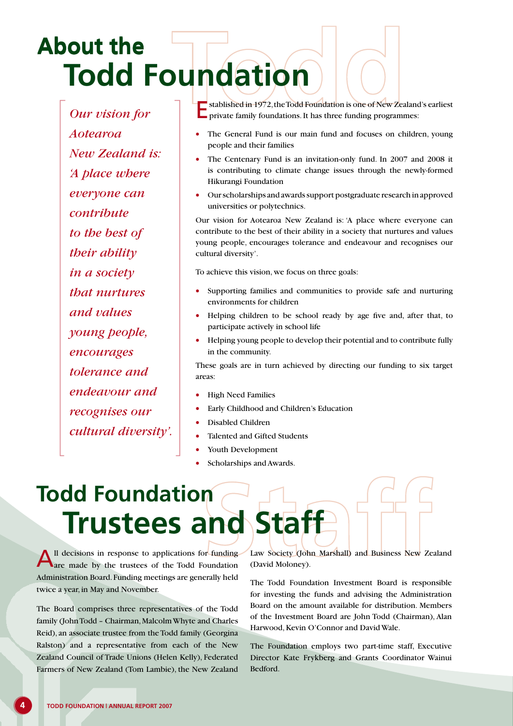## **Todd Foundation About the About the**

*Our vision for Aotearoa New Zealand is: 'A place where everyone can contribute to the best of their ability in a society that nurtures and values young people, encourages tolerance and endeavour and recognises our cultural diversity'.*

Established in 1972, the Todd Foundation is one of New Zealand's earliest private family foundations. It has three funding programmes:

- The General Fund is our main fund and focuses on children, young people and their families
- The Centenary Fund is an invitation-only fund. In 2007 and 2008 it is contributing to climate change issues through the newly-formed Hikurangi Foundation
- Our scholarships and awards support postgraduate research in approved universities or polytechnics.

Our vision for Aotearoa New Zealand is: 'A place where everyone can contribute to the best of their ability in a society that nurtures and values young people, encourages tolerance and endeavour and recognises our cultural diversity'.

To achieve this vision, we focus on three goals:

- Supporting families and communities to provide safe and nurturing environments for children
- Helping children to be school ready by age five and, after that, to participate actively in school life
- Helping young people to develop their potential and to contribute fully in the community.

These goals are in turn achieved by directing our funding to six target areas:

- High Need Families
- Early Childhood and Children's Education
- Disabled Children
- Talented and Gifted Students
- Youth Development
- Scholarships and Awards.

## **Trustees and Staff Todd Foundation**

All decisions in response to applications for funding are made by the trustees of the Todd Foundation Administration Board. Funding meetings are generally held twice a year, in May and November.

The Board comprises three representatives of the Todd family (John Todd – Chairman, Malcolm Whyte and Charles Reid), an associate trustee from the Todd family (Georgina Ralston) and a representative from each of the New Zealand Council of Trade Unions (Helen Kelly), Federated Farmers of New Zealand (Tom Lambie), the New Zealand Law Society (John Marshall) and Business New Zealand (David Moloney).

The Todd Foundation Investment Board is responsible for investing the funds and advising the Administration Board on the amount available for distribution. Members of the Investment Board are John Todd (Chairman), Alan Harwood, Kevin O'Connor and David Wale.

The Foundation employs two part-time staff, Executive Director Kate Frykberg and Grants Coordinator Wainui Bedford.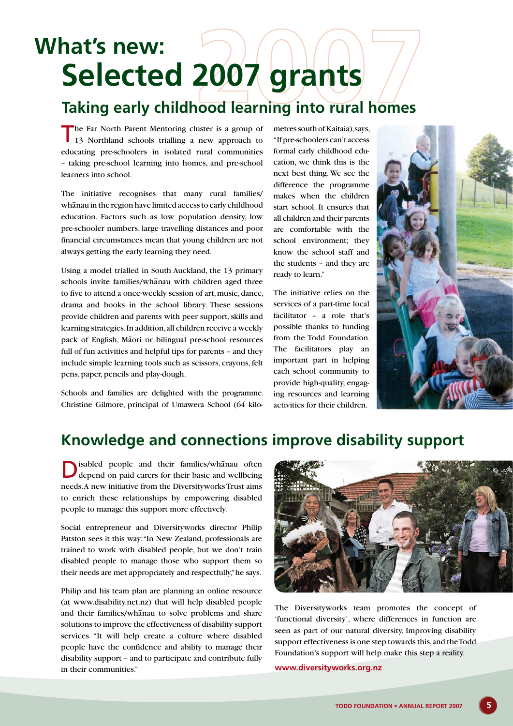## **Selected 2007 grants What's new:**

### **Taking early childhood learning into rural homes**

The Far North Parent Mentoring cluster is a group of 13 Northland schools trialling a new approach to educating pre-schoolers in isolated rural communities – taking pre-school learning into homes, and pre-school learners into school.

The initiative recognises that many rural families/ whanau in the region have limited access to early childhood education. Factors such as low population density, low pre-schooler numbers, large travelling distances and poor financial circumstances mean that young children are not always getting the early learning they need.

Using a model trialled in South Auckland, the 13 primary schools invite families/whanau with children aged three to five to attend a once-weekly session of art, music, dance, drama and books in the school library. These sessions provide children and parents with peer support, skills and learning strategies. In addition, all children receive a weekly pack of English, Maori or bilingual pre-school resources full of fun activities and helpful tips for parents – and they include simple learning tools such as scissors, crayons, felt pens, paper, pencils and play-dough.

Schools and families are delighted with the programme. Christine Gilmore, principal of Umawera School (64 kilometres south of Kaitaia), says, "If pre-schoolers can't access formal early childhood education, we think this is the next best thing. We see the difference the programme makes when the children start school. It ensures that all children and their parents are comfortable with the school environment; they know the school staff and the students – and they are ready to learn."

The initiative relies on the services of a part-time local facilitator – a role that's possible thanks to funding from the Todd Foundation. The facilitators play an important part in helping each school community to provide high-quality, engaging resources and learning activities for their children.



### **Knowledge and connections improve disability support**

Disabled people and their families/whanau often depend on paid carers for their basic and wellbeing needs. A new initiative from the Diversityworks Trust aims to enrich these relationships by empowering disabled people to manage this support more effectively.

Social entrepreneur and Diversityworks director Philip Patston sees it this way: "In New Zealand, professionals are trained to work with disabled people, but we don't train disabled people to manage those who support them so their needs are met appropriately and respectfully," he says.

Philip and his team plan are planning an online resource (at www.disability.net.nz) that will help disabled people and their families/whanau to solve problems and share solutions to improve the effectiveness of disability support services. "It will help create a culture where disabled people have the confidence and ability to manage their disability support – and to participate and contribute fully in their communities."



The Diversityworks team promotes the concept of 'functional diversity', where differences in function are seen as part of our natural diversity. Improving disability support effectiveness is one step towards this, and the Todd Foundation's support will help make this step a reality.

#### **www.diversityworks.org.nz**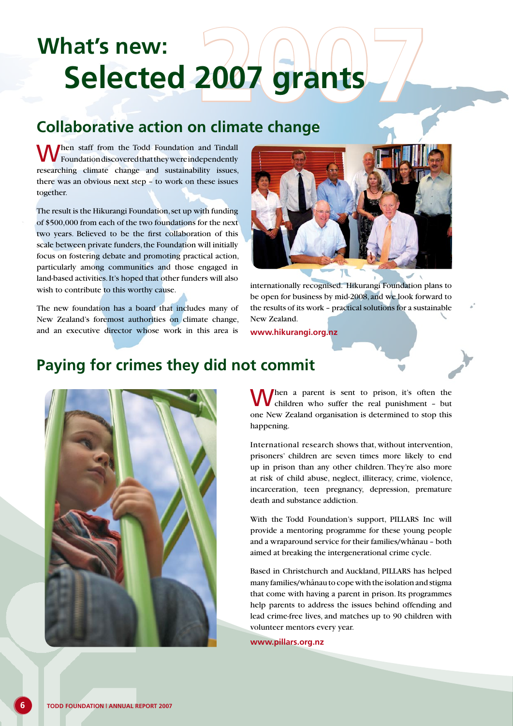# **Selected 2007 grants What's new:**

### **Collaborative action on climate change**

When staff from the Todd Foundation and Tindall Foundation discovered that they were independently researching climate change and sustainability issues, there was an obvious next step – to work on these issues together.

The result is the Hikurangi Foundation, set up with funding of \$500,000 from each of the two foundations for the next two years. Believed to be the first collaboration of this scale between private funders, the Foundation will initially focus on fostering debate and promoting practical action, particularly among communities and those engaged in land-based activities. It's hoped that other funders will also wish to contribute to this worthy cause.

The new foundation has a board that includes many of New Zealand's foremost authorities on climate change, and an executive director whose work in this area is



internationally recognised. Hikurangi Foundation plans to be open for business by mid-2008, and we look forward to the results of its work – practical solutions for a sustainable New Zealand.

**www.hikurangi.org.nz**

### **Paying for crimes they did not commit**



When a parent is sent to prison, it's often the children who suffer the real punishment - but one New Zealand organisation is determined to stop this happening.

International research shows that, without intervention, prisoners' children are seven times more likely to end up in prison than any other children. They're also more at risk of child abuse, neglect, illiteracy, crime, violence, incarceration, teen pregnancy, depression, premature death and substance addiction.

With the Todd Foundation's support, PILLARS Inc will provide a mentoring programme for these young people and a wraparound service for their families/whanau - both aimed at breaking the intergenerational crime cycle.

Based in Christchurch and Auckland, PILLARS has helped many families/whānau to cope with the isolation and stigma that come with having a parent in prison. Its programmes help parents to address the issues behind offending and lead crime-free lives, and matches up to 90 children with volunteer mentors every year.

**www.pillars.org.nz**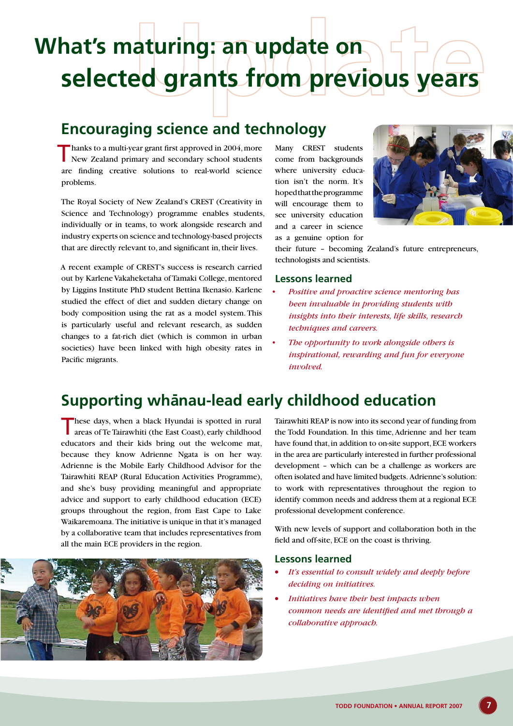# **selected grants from previous years What's maturing: an update on**

### **Encouraging science and technology**

 $\blacksquare$  hanks to a multi-year grant first approved in 2004, more New Zealand primary and secondary school students are finding creative solutions to real-world science problems.

The Royal Society of New Zealand's CREST (Creativity in Science and Technology) programme enables students, individually or in teams, to work alongside research and industry experts on science and technology-based projects that are directly relevant to, and significant in, their lives.

A recent example of CREST's success is research carried out by Karlene Vakaheketaha of Tamaki College, mentored by Liggins Institute PhD student Bettina Ikenasio. Karlene studied the effect of diet and sudden dietary change on body composition using the rat as a model system. This is particularly useful and relevant research, as sudden changes to a fat-rich diet (which is common in urban societies) have been linked with high obesity rates in Pacific migrants.

Many CREST students come from backgrounds where university education isn't the norm. It's hoped that the programme will encourage them to see university education and a career in science as a genuine option for



their future – becoming Zealand's future entrepreneurs, technologists and scientists.

#### **Lessons learned**

- *• Positive and proactive science mentoring has been invaluable in providing students with insights into their interests, life skills, research techniques and careers.*
- *• The opportunity to work alongside others is inspirational, rewarding and fun for everyone involved.*

### **Supporting** whanau-lead early childhood education

These days, when a black Hyundai is spotted in rural areas of Te Tairawhiti (the East Coast), early childhood educators and their kids bring out the welcome mat, because they know Adrienne Ngata is on her way. Adrienne is the Mobile Early Childhood Advisor for the Tairawhiti REAP (Rural Education Activities Programme), and she's busy providing meaningful and appropriate advice and support to early childhood education (ECE) groups throughout the region, from East Cape to Lake Waikaremoana. The initiative is unique in that it's managed by a collaborative team that includes representatives from all the main ECE providers in the region.



Tairawhiti REAP is now into its second year of funding from the Todd Foundation. In this time, Adrienne and her team have found that, in addition to on-site support, ECE workers in the area are particularly interested in further professional development – which can be a challenge as workers are often isolated and have limited budgets. Adrienne's solution: to work with representatives throughout the region to identify common needs and address them at a regional ECE professional development conference.

With new levels of support and collaboration both in the field and off-site, ECE on the coast is thriving.

#### **Lessons learned**

- It's essential to consult widely and deeply before *deciding on initiatives.*
- • *Initiatives have their best impacts when common needs are identified and met through a collaborative approach.*